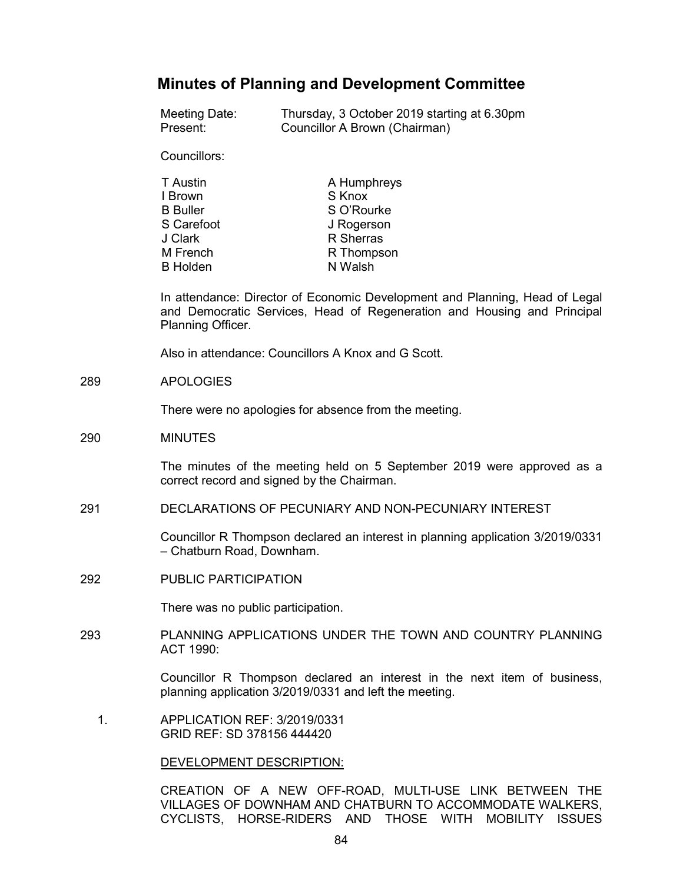# **Minutes of Planning and Development Committee**

| Meeting Date: | Thursday, 3 October 2019 starting at 6.30pm |
|---------------|---------------------------------------------|
| Present:      | Councillor A Brown (Chairman)               |

Councillors:

| T Austin        | A Humphreys |
|-----------------|-------------|
| I Brown         | S Knox      |
| <b>B</b> Buller | S O'Rourke  |
| S Carefoot      | J Rogerson  |
| J Clark         | R Sherras   |
| M French        | R Thompson  |
| <b>B</b> Holden | N Walsh     |

In attendance: Director of Economic Development and Planning, Head of Legal and Democratic Services, Head of Regeneration and Housing and Principal Planning Officer.

Also in attendance: Councillors A Knox and G Scott.

289 APOLOGIES

There were no apologies for absence from the meeting.

290 MINUTES

The minutes of the meeting held on 5 September 2019 were approved as a correct record and signed by the Chairman.

291 DECLARATIONS OF PECUNIARY AND NON-PECUNIARY INTEREST

Councillor R Thompson declared an interest in planning application 3/2019/0331 – Chatburn Road, Downham.

292 PUBLIC PARTICIPATION

There was no public participation.

293 PLANNING APPLICATIONS UNDER THE TOWN AND COUNTRY PLANNING ACT 1990:

> Councillor R Thompson declared an interest in the next item of business, planning application 3/2019/0331 and left the meeting.

 1. APPLICATION REF: 3/2019/0331 GRID REF: SD 378156 444420

DEVELOPMENT DESCRIPTION:

CREATION OF A NEW OFF-ROAD, MULTI-USE LINK BETWEEN THE VILLAGES OF DOWNHAM AND CHATBURN TO ACCOMMODATE WALKERS, CYCLISTS, HORSE-RIDERS AND THOSE WITH MOBILITY ISSUES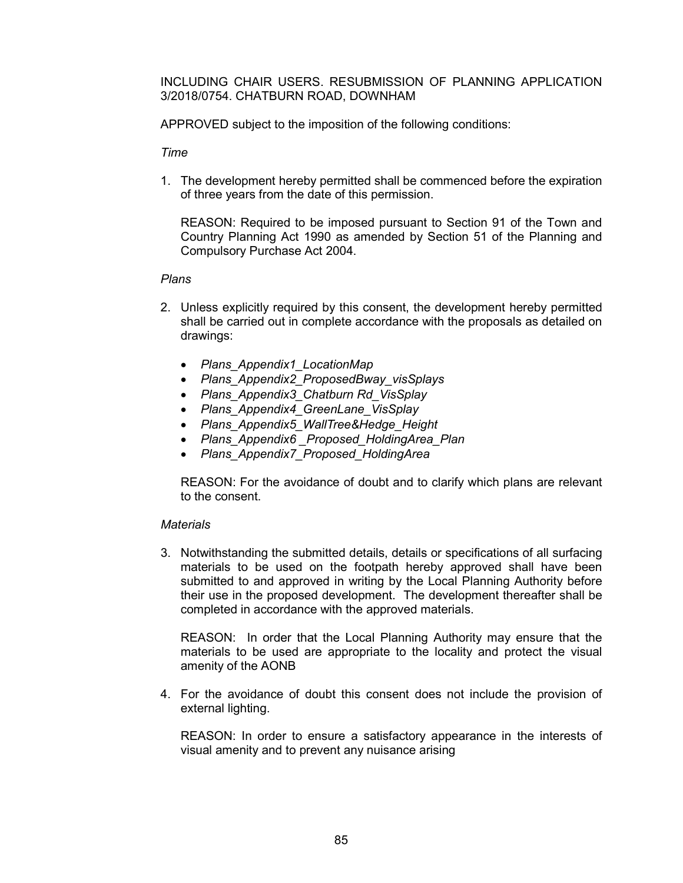INCLUDING CHAIR USERS. RESUBMISSION OF PLANNING APPLICATION 3/2018/0754. CHATBURN ROAD, DOWNHAM

APPROVED subject to the imposition of the following conditions:

*Time*

1. The development hereby permitted shall be commenced before the expiration of three years from the date of this permission.

REASON: Required to be imposed pursuant to Section 91 of the Town and Country Planning Act 1990 as amended by Section 51 of the Planning and Compulsory Purchase Act 2004.

# *Plans*

- 2. Unless explicitly required by this consent, the development hereby permitted shall be carried out in complete accordance with the proposals as detailed on drawings:
	- *Plans\_Appendix1\_LocationMap*
	- *Plans\_Appendix2\_ProposedBway\_visSplays*
	- *Plans\_Appendix3\_Chatburn Rd\_VisSplay*
	- *Plans\_Appendix4\_GreenLane\_VisSplay*
	- *Plans\_Appendix5\_WallTree&Hedge\_Height*
	- *Plans\_Appendix6 \_Proposed\_HoldingArea\_Plan*
	- *Plans\_Appendix7\_Proposed\_HoldingArea*

REASON: For the avoidance of doubt and to clarify which plans are relevant to the consent.

## *Materials*

3. Notwithstanding the submitted details, details or specifications of all surfacing materials to be used on the footpath hereby approved shall have been submitted to and approved in writing by the Local Planning Authority before their use in the proposed development. The development thereafter shall be completed in accordance with the approved materials.

REASON: In order that the Local Planning Authority may ensure that the materials to be used are appropriate to the locality and protect the visual amenity of the AONB

4. For the avoidance of doubt this consent does not include the provision of external lighting.

REASON: In order to ensure a satisfactory appearance in the interests of visual amenity and to prevent any nuisance arising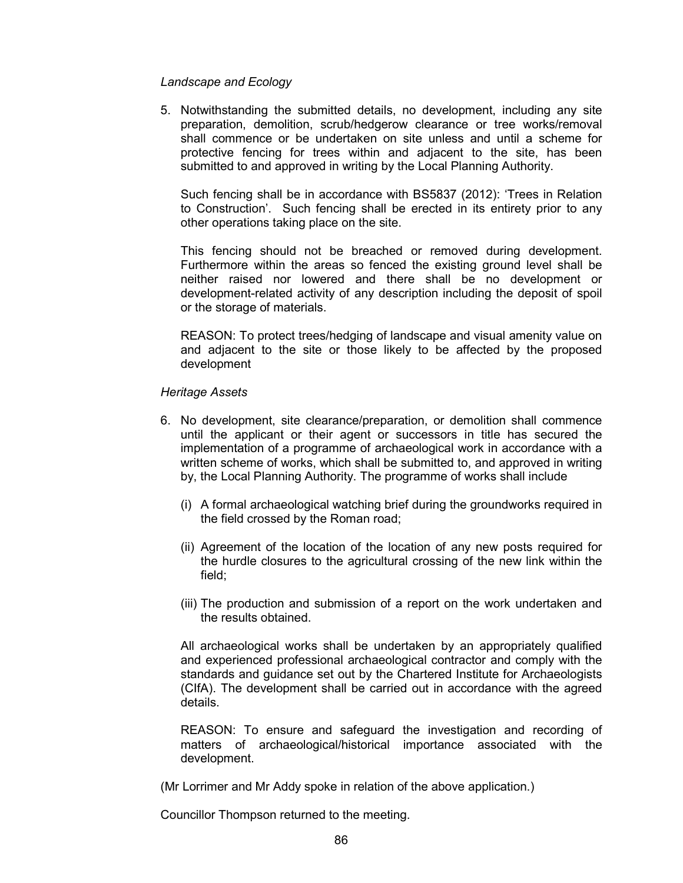# *Landscape and Ecology*

5. Notwithstanding the submitted details, no development, including any site preparation, demolition, scrub/hedgerow clearance or tree works/removal shall commence or be undertaken on site unless and until a scheme for protective fencing for trees within and adjacent to the site, has been submitted to and approved in writing by the Local Planning Authority.

Such fencing shall be in accordance with BS5837 (2012): 'Trees in Relation to Construction'. Such fencing shall be erected in its entirety prior to any other operations taking place on the site.

This fencing should not be breached or removed during development. Furthermore within the areas so fenced the existing ground level shall be neither raised nor lowered and there shall be no development or development-related activity of any description including the deposit of spoil or the storage of materials.

REASON: To protect trees/hedging of landscape and visual amenity value on and adjacent to the site or those likely to be affected by the proposed development

# *Heritage Assets*

- 6. No development, site clearance/preparation, or demolition shall commence until the applicant or their agent or successors in title has secured the implementation of a programme of archaeological work in accordance with a written scheme of works, which shall be submitted to, and approved in writing by, the Local Planning Authority. The programme of works shall include
	- (i) A formal archaeological watching brief during the groundworks required in the field crossed by the Roman road;
	- (ii) Agreement of the location of the location of any new posts required for the hurdle closures to the agricultural crossing of the new link within the field;
	- (iii) The production and submission of a report on the work undertaken and the results obtained.

All archaeological works shall be undertaken by an appropriately qualified and experienced professional archaeological contractor and comply with the standards and guidance set out by the Chartered Institute for Archaeologists (CIfA). The development shall be carried out in accordance with the agreed details.

REASON: To ensure and safeguard the investigation and recording of matters of archaeological/historical importance associated with the development.

(Mr Lorrimer and Mr Addy spoke in relation of the above application.)

Councillor Thompson returned to the meeting.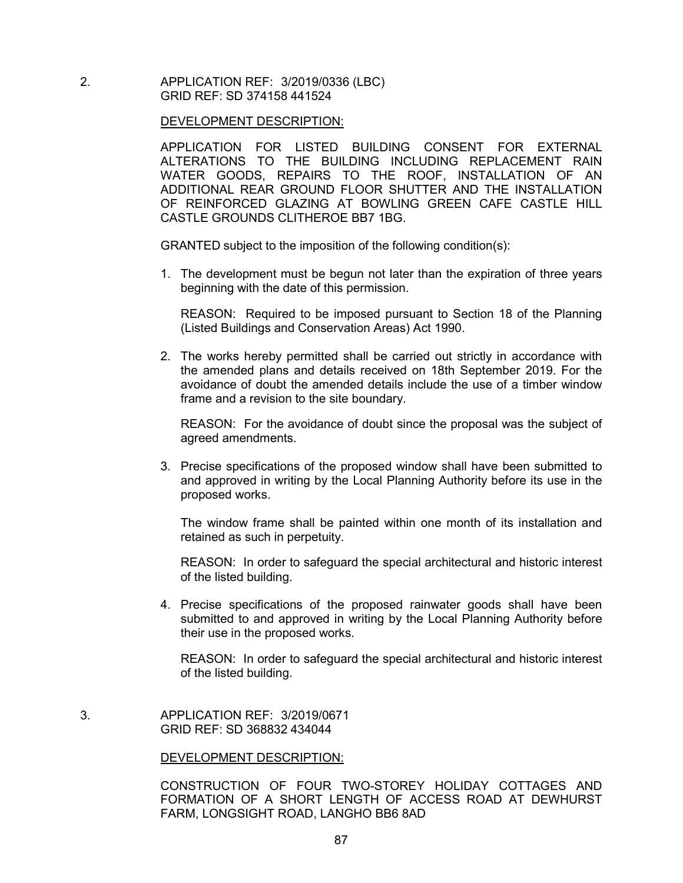2. APPLICATION REF: 3/2019/0336 (LBC) GRID REF: SD 374158 441524

#### DEVELOPMENT DESCRIPTION:

APPLICATION FOR LISTED BUILDING CONSENT FOR EXTERNAL ALTERATIONS TO THE BUILDING INCLUDING REPLACEMENT RAIN WATER GOODS, REPAIRS TO THE ROOF, INSTALLATION OF AN ADDITIONAL REAR GROUND FLOOR SHUTTER AND THE INSTALLATION OF REINFORCED GLAZING AT BOWLING GREEN CAFE CASTLE HILL CASTLE GROUNDS CLITHEROE BB7 1BG.

GRANTED subject to the imposition of the following condition(s):

1. The development must be begun not later than the expiration of three years beginning with the date of this permission.

REASON: Required to be imposed pursuant to Section 18 of the Planning (Listed Buildings and Conservation Areas) Act 1990.

2. The works hereby permitted shall be carried out strictly in accordance with the amended plans and details received on 18th September 2019. For the avoidance of doubt the amended details include the use of a timber window frame and a revision to the site boundary.

REASON: For the avoidance of doubt since the proposal was the subject of agreed amendments.

3. Precise specifications of the proposed window shall have been submitted to and approved in writing by the Local Planning Authority before its use in the proposed works.

The window frame shall be painted within one month of its installation and retained as such in perpetuity.

REASON: In order to safeguard the special architectural and historic interest of the listed building.

4. Precise specifications of the proposed rainwater goods shall have been submitted to and approved in writing by the Local Planning Authority before their use in the proposed works.

REASON: In order to safeguard the special architectural and historic interest of the listed building.

3. APPLICATION REF: 3/2019/0671 GRID REF: SD 368832 434044

#### DEVELOPMENT DESCRIPTION:

CONSTRUCTION OF FOUR TWO-STOREY HOLIDAY COTTAGES AND FORMATION OF A SHORT LENGTH OF ACCESS ROAD AT DEWHURST FARM, LONGSIGHT ROAD, LANGHO BB6 8AD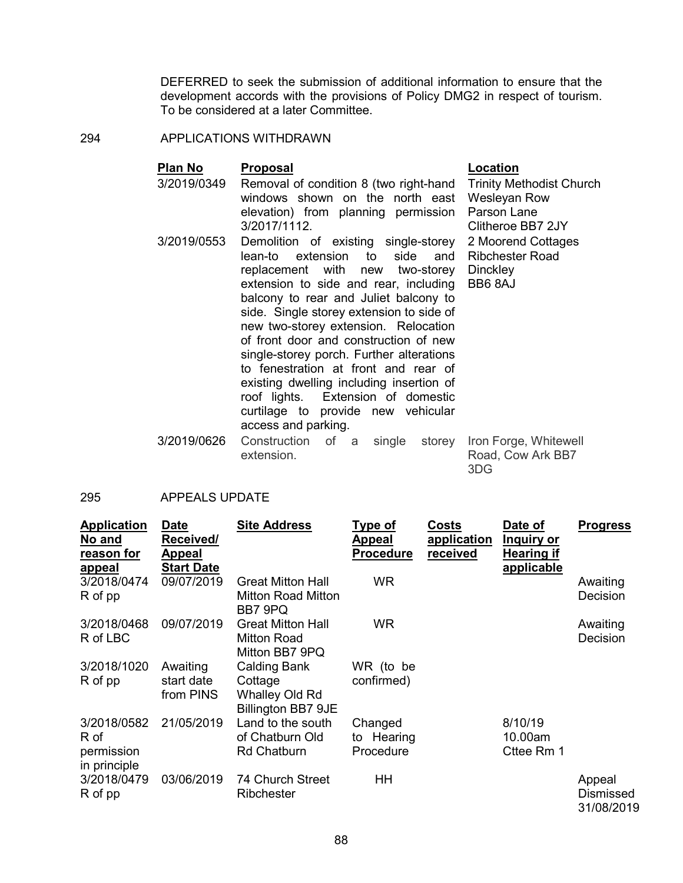DEFERRED to seek the submission of additional information to ensure that the development accords with the provisions of Policy DMG2 in respect of tourism. To be considered at a later Committee.

Trinity Methodist Church

Wesleyan Row Parson Lane Clitheroe BB7 2JY

## 294 APPLICATIONS WITHDRAWN

# **Plan No Proposal Location**

- 3/2019/0349 Removal of condition 8 (two right-hand windows shown on the north east elevation) from planning permission 3/2017/1112.
- 3/2019/0553 Demolition of existing single-storey lean-to extension to side and replacement with new two-storey extension to side and rear, including balcony to rear and Juliet balcony to side. Single storey extension to side of new two-storey extension. Relocation of front door and construction of new single-storey porch. Further alterations to fenestration at front and rear of existing dwelling including insertion of roof lights. Extension of domestic curtilage to provide new vehicular access and parking. 2 Moorend Cottages Ribchester Road **Dinckley** BB6 8AJ
- 3/2019/0626 Construction of a single storey Iron Forge, Whitewell extension. Road, Cow Ark BB7 3DG

# 295 APPEALS UPDATE

| <b>Application</b><br>No and<br>reason for<br><u>appeal</u> | <b>Date</b><br>Received/<br><b>Appeal</b><br><b>Start Date</b> | <b>Site Address</b>                                                    | <u>Type of</u><br><u>Appeal</u><br><b>Procedure</b> | Costs<br>application<br>received | Date of<br>Inquiry or<br><b>Hearing if</b><br>applicable | <b>Progress</b>                   |
|-------------------------------------------------------------|----------------------------------------------------------------|------------------------------------------------------------------------|-----------------------------------------------------|----------------------------------|----------------------------------------------------------|-----------------------------------|
| 3/2018/0474<br>R of pp                                      | 09/07/2019                                                     | <b>Great Mitton Hall</b><br><b>Mitton Road Mitton</b><br>BB7 9PQ       | <b>WR</b>                                           |                                  |                                                          | Awaiting<br>Decision              |
| 3/2018/0468<br>R of LBC                                     | 09/07/2019                                                     | <b>Great Mitton Hall</b><br>Mitton Road<br>Mitton BB7 9PQ              | WR                                                  |                                  |                                                          | Awaiting<br>Decision              |
| 3/2018/1020<br>R of pp                                      | Awaiting<br>start date<br>from PINS                            | <b>Calding Bank</b><br>Cottage<br>Whalley Old Rd<br>Billington BB7 9JE | WR (to be<br>confirmed)                             |                                  |                                                          |                                   |
| 3/2018/0582<br>R of<br>permission<br>in principle           | 21/05/2019                                                     | Land to the south<br>of Chatburn Old<br><b>Rd Chatburn</b>             | Changed<br>to Hearing<br>Procedure                  |                                  | 8/10/19<br>10.00am<br>Cttee Rm 1                         |                                   |
| 3/2018/0479<br>R of pp                                      | 03/06/2019                                                     | 74 Church Street<br>Ribchester                                         | HH                                                  |                                  |                                                          | Appeal<br>Dismissed<br>31/08/2019 |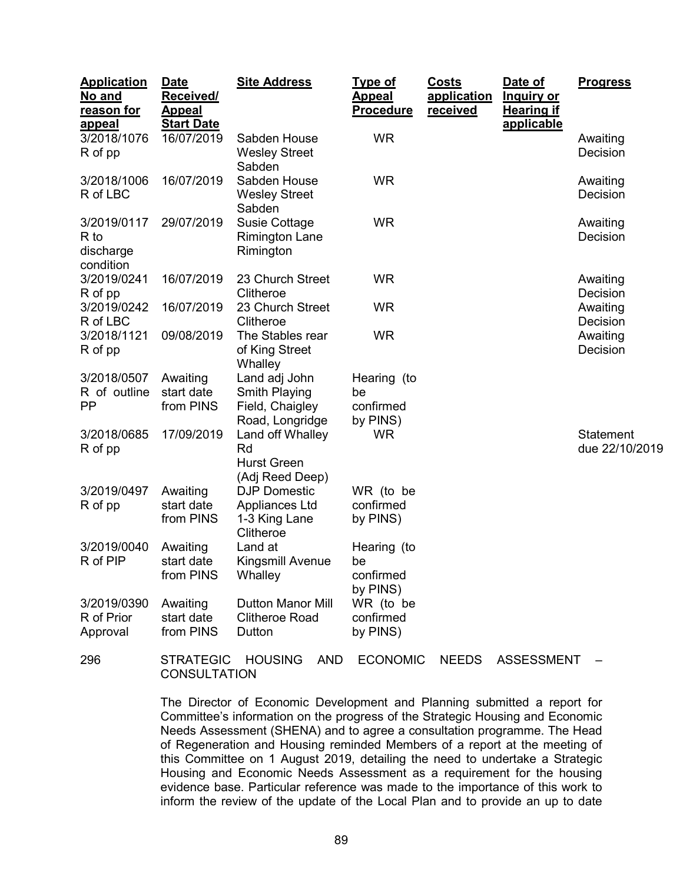| <b>Application</b><br>No and<br>reason for<br><b>appeal</b> | <b>Date</b><br>Received/<br><b>Appeal</b><br><b>Start Date</b> | <b>Site Address</b>                                                  | <b>Type of</b><br><b>Appeal</b><br><b>Procedure</b> | Costs<br>application<br><b>received</b> | Date of<br><u>Inquiry or</u><br><b>Hearing if</b><br>applicable | <b>Progress</b>             |
|-------------------------------------------------------------|----------------------------------------------------------------|----------------------------------------------------------------------|-----------------------------------------------------|-----------------------------------------|-----------------------------------------------------------------|-----------------------------|
| 3/2018/1076<br>R of pp                                      | 16/07/2019                                                     | Sabden House<br><b>Wesley Street</b><br>Sabden                       | <b>WR</b>                                           |                                         |                                                                 | Awaiting<br>Decision        |
| 3/2018/1006<br>R of LBC                                     | 16/07/2019                                                     | Sabden House<br><b>Wesley Street</b><br>Sabden                       | <b>WR</b>                                           |                                         |                                                                 | Awaiting<br>Decision        |
| 3/2019/0117<br>R to<br>discharge<br>condition               | 29/07/2019                                                     | <b>Susie Cottage</b><br><b>Rimington Lane</b><br>Rimington           | <b>WR</b>                                           |                                         |                                                                 | Awaiting<br>Decision        |
| 3/2019/0241<br>R of pp                                      | 16/07/2019                                                     | 23 Church Street<br>Clitheroe                                        | <b>WR</b>                                           |                                         |                                                                 | Awaiting<br>Decision        |
| 3/2019/0242<br>R of LBC                                     | 16/07/2019                                                     | 23 Church Street<br>Clitheroe                                        | <b>WR</b>                                           |                                         |                                                                 | Awaiting<br>Decision        |
| 3/2018/1121<br>R of pp                                      | 09/08/2019                                                     | The Stables rear<br>of King Street<br>Whalley                        | <b>WR</b>                                           |                                         |                                                                 | Awaiting<br>Decision        |
| 3/2018/0507<br>R of outline<br><b>PP</b>                    | Awaiting<br>start date<br>from PINS                            | Land adj John<br>Smith Playing<br>Field, Chaigley<br>Road, Longridge | Hearing (to<br>be<br>confirmed<br>by PINS)          |                                         |                                                                 |                             |
| 3/2018/0685<br>R of pp                                      | 17/09/2019                                                     | Land off Whalley<br>Rd<br><b>Hurst Green</b><br>(Adj Reed Deep)      | <b>WR</b>                                           |                                         |                                                                 | Statement<br>due 22/10/2019 |
| 3/2019/0497<br>R of pp                                      | Awaiting<br>start date<br>from PINS                            | <b>DJP Domestic</b><br>Appliances Ltd<br>1-3 King Lane<br>Clitheroe  | WR (to be<br>confirmed<br>by PINS)                  |                                         |                                                                 |                             |
| 3/2019/0040<br>R of PIP                                     | Awaiting<br>start date<br>from PINS                            | Land at<br>Kingsmill Avenue<br>Whalley                               | Hearing (to<br>be<br>confirmed<br>by PINS)          |                                         |                                                                 |                             |
| 3/2019/0390<br>R of Prior<br>Approval                       | Awaiting<br>start date<br>from PINS                            | <b>Dutton Manor Mill</b><br><b>Clitheroe Road</b><br>Dutton          | WR (to be<br>confirmed<br>by PINS)                  |                                         |                                                                 |                             |
| 296                                                         | <b>STRATEGIC</b>                                               | <b>HOUSING</b><br><b>AND</b>                                         | <b>ECONOMIC</b>                                     | <b>NEEDS</b>                            | <b>ASSESSMENT</b>                                               |                             |

**CONSULTATION** 

The Director of Economic Development and Planning submitted a report for Committee's information on the progress of the Strategic Housing and Economic Needs Assessment (SHENA) and to agree a consultation programme. The Head

of Regeneration and Housing reminded Members of a report at the meeting of this Committee on 1 August 2019, detailing the need to undertake a Strategic Housing and Economic Needs Assessment as a requirement for the housing evidence base. Particular reference was made to the importance of this work to inform the review of the update of the Local Plan and to provide an up to date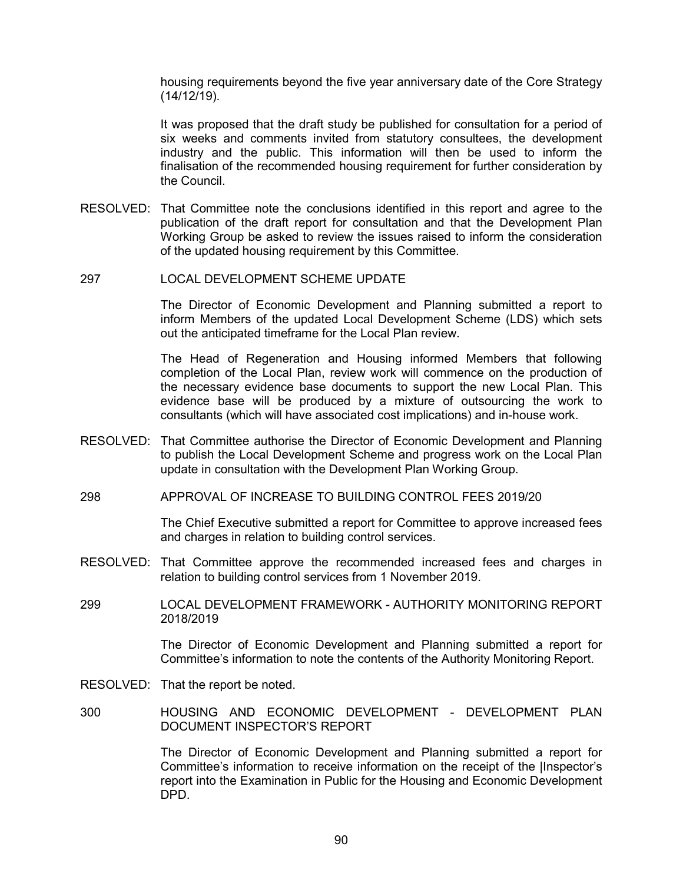housing requirements beyond the five year anniversary date of the Core Strategy (14/12/19).

It was proposed that the draft study be published for consultation for a period of six weeks and comments invited from statutory consultees, the development industry and the public. This information will then be used to inform the finalisation of the recommended housing requirement for further consideration by the Council.

- RESOLVED: That Committee note the conclusions identified in this report and agree to the publication of the draft report for consultation and that the Development Plan Working Group be asked to review the issues raised to inform the consideration of the updated housing requirement by this Committee.
- 297 LOCAL DEVELOPMENT SCHEME UPDATE

The Director of Economic Development and Planning submitted a report to inform Members of the updated Local Development Scheme (LDS) which sets out the anticipated timeframe for the Local Plan review.

The Head of Regeneration and Housing informed Members that following completion of the Local Plan, review work will commence on the production of the necessary evidence base documents to support the new Local Plan. This evidence base will be produced by a mixture of outsourcing the work to consultants (which will have associated cost implications) and in-house work.

- RESOLVED: That Committee authorise the Director of Economic Development and Planning to publish the Local Development Scheme and progress work on the Local Plan update in consultation with the Development Plan Working Group.
- 298 APPROVAL OF INCREASE TO BUILDING CONTROL FEES 2019/20

The Chief Executive submitted a report for Committee to approve increased fees and charges in relation to building control services.

- RESOLVED: That Committee approve the recommended increased fees and charges in relation to building control services from 1 November 2019.
- 299 LOCAL DEVELOPMENT FRAMEWORK AUTHORITY MONITORING REPORT 2018/2019

The Director of Economic Development and Planning submitted a report for Committee's information to note the contents of the Authority Monitoring Report.

- RESOLVED: That the report be noted.
- 300 HOUSING AND ECONOMIC DEVELOPMENT DEVELOPMENT PLAN DOCUMENT INSPECTOR'S REPORT

The Director of Economic Development and Planning submitted a report for Committee's information to receive information on the receipt of the |Inspector's report into the Examination in Public for the Housing and Economic Development DPD.